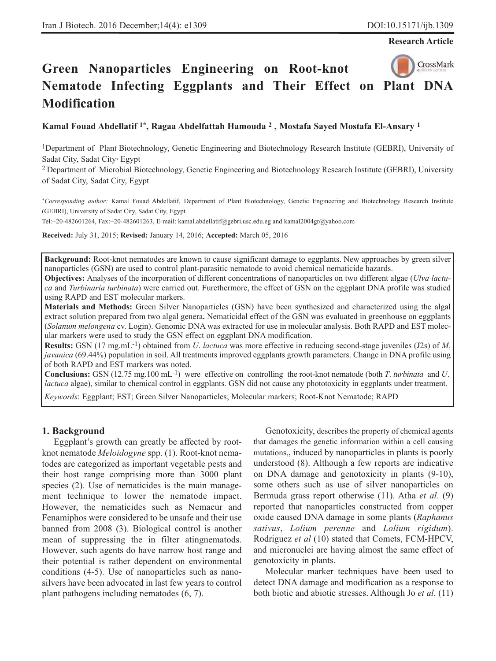**Research Article**

# CrossMark **Green Nanoparticles Engineering on Root-knot Nematode Infecting Eggplants and Their Effect on Plant DNA Modification**

**Kamal Fouad Abdellatif 1\*, Ragaa Abdelfattah Hamouda 2 , Mostafa Sayed Mostafa El-Ansary 1**

1Department of Plant Biotechnology, Genetic Engineering and Biotechnology Research Institute (GEBRI), University of Sadat City, Sadat City, Egypt

2 Department of Microbial Biotechnology, Genetic Engineering and Biotechnology Research Institute (GEBRI), University of Sadat City, Sadat City, Egypt

\**Corresponding author:* Kamal Fouad Abdellatif, Department of Plant Biotechnology, Genetic Engineering and Biotechnology Research Institute (GEBRI), University of Sadat City, Sadat City, Egypt

Tel:+20-482601264, Fax:+20-482601263, E-mail: kamal.abdellatif@gebri.usc.edu.eg and kamal2004gr@yahoo.com

**Received:** July 31, 2015; **Revised:** January 14, 2016; **Accepted:** March 05, 2016

**Background:** Root-knot nematodes are known to cause significant damage to eggplants. New approaches by green silver nanoparticles (GSN) are used to control plant-parasitic nematode to avoid chemical nematicide hazards.

**Objectives:** Analyses of the incorporation of different concentrations of nanoparticles on two different algae (*Ulva lactuca* and *Turbinaria turbinata*) were carried out. Furethermore, the effect of GSN on the eggplant DNA profile was studied using RAPD and EST molecular markers.

**Materials and Methods:** Green Silver Nanoparticles (GSN) have been synthesized and characterized using the algal extract solution prepared from two algal genera**.** Nematicidal effect of the GSN was evaluated in greenhouse on eggplants (*Solanum melongena* cv. Login). Genomic DNA was extracted for use in molecular analysis. Both RAPD and EST molecular markers were used to study the GSN effect on eggplant DNA modification.

**Results:** GSN (17 mg.mL-1) obtained from *U*. *lactuca* was more effective in reducing second-stage juveniles (J2s) of *M*. *javanica* (69.44%) population in soil. All treatments improved eggplants growth parameters. Change in DNA profile using of both RAPD and EST markers was noted.

**Conclusions:** GSN (12.75 mg.100 mL-1) were effective on controlling the root-knot nematode (both *T*. *turbinata* and *U*. *lactuca* algae), similar to chemical control in eggplants. GSN did not cause any phototoxicity in eggplants under treatment.

*Keywords*: Eggplant; EST; Green Silver Nanoparticles; Molecular markers; Root-Knot Nematode; RAPD

### **1. Background**

Eggplant's growth can greatly be affected by rootknot nematode *Meloidogyne* spp. (1). Root-knot nematodes are categorized as important vegetable pests and their host range comprising more than 3000 plant species (2). Use of nematicides is the main management technique to lower the nematode impact. However, the nematicides such as Nemacur and Fenamiphos were considered to be unsafe and their use banned from 2008 (3). Biological control is another mean of suppressing the in filter atingnematods. However, such agents do have narrow host range and their potential is rather dependent on environmental conditions (4-5). Use of nanoparticles such as nanosilvers have been advocated in last few years to control plant pathogens including nematodes (6, 7).

Genotoxicity, describes the property of chemical agents that damages the genetic information within a cell causing mutations,, induced by nanoparticles in plants is poorly understood (8). Although a few reports are indicative on DNA damage and genotoxicity in plants (9-10), some others such as use of silver nanoparticles on Bermuda grass report otherwise (11). Atha *et al*. (9) reported that nanoparticles constructed from copper oxide caused DNA damage in some plants (*Raphanus sativus*, *Lolium perenne* and *Lolium rigidum*). Rodriguez *et al* (10) stated that Comets, FCM-HPCV, and micronuclei are having almost the same effect of genotoxicity in plants.

Molecular marker techniques have been used to detect DNA damage and modification as a response to both biotic and abiotic stresses. Although Jo *et al*. (11)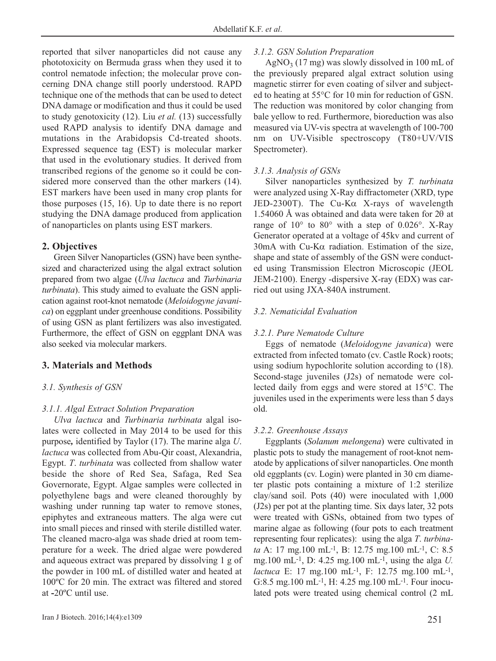reported that silver nanoparticles did not cause any phototoxicity on Bermuda grass when they used it to control nematode infection; the molecular prove concerning DNA change still poorly understood. RAPD technique one of the methods that can be used to detect DNA damage or modification and thus it could be used to study genotoxicity (12). Liu *et al.* (13) successfully used RAPD analysis to identify DNA damage and mutations in the Arabidopsis Cd-treated shoots. Expressed sequence tag (EST) is molecular marker that used in the evolutionary studies. It derived from transcribed regions of the genome so it could be considered more conserved than the other markers (14). EST markers have been used in many crop plants for those purposes (15, 16). Up to date there is no report studying the DNA damage produced from application of nanoparticles on plants using EST markers.

# **2. Objectives**

Green Silver Nanoparticles (GSN) have been synthesized and characterized using the algal extract solution prepared from two algae (*Ulva lactuca* and *Turbinaria turbinata*). This study aimed to evaluate the GSN application against root-knot nematode (*Meloidogyne javanica*) on eggplant under greenhouse conditions. Possibility of using GSN as plant fertilizers was also investigated. Furthermore, the effect of GSN on eggplant DNA was also seeked via molecular markers.

# **3. Materials and Methods**

### *3.1. Synthesis of GSN*

### *3.1.1. Algal Extract Solution Preparation*

*Ulva lactuca* and *Turbinaria turbinata* algal isolates were collected in May 2014 to be used for this purpose*,* identified by Taylor (17). The marine alga *U*. *lactuca* was collected from Abu-Qir coast, Alexandria, Egypt. *T*. *turbinata* was collected from shallow water beside the shore of Red Sea, Safaga, Red Sea Governorate, Egypt. Algae samples were collected in polyethylene bags and were cleaned thoroughly by washing under running tap water to remove stones, epiphytes and extraneous matters. The alga were cut into small pieces and rinsed with sterile distilled water. The cleaned macro-alga was shade dried at room temperature for a week. The dried algae were powdered and aqueous extract was prepared by dissolving 1 g of the powder in 100 mL of distilled water and heated at 100ºC for 20 min. The extract was filtered and stored at **-**20ºC until use.

### *3.1.2. GSN Solution Preparation*

 $AgNO<sub>3</sub>$  (17 mg) was slowly dissolved in 100 mL of the previously prepared algal extract solution using magnetic stirrer for even coating of silver and subjected to heating at 55°C for 10 min for reduction of GSN. The reduction was monitored by color changing from bale yellow to red. Furthermore, bioreduction was also measured via UV-vis spectra at wavelength of 100-700 nm on UV-Visible spectroscopy (T80+UV/VIS Spectrometer).

### *3.1.3. Analysis of GSNs*

Silver nanoparticles synthesized by *T. turbinata* were analyzed using X-Ray diffractometer (XRD, type JED-2300T). The Cu-Kα X-rays of wavelength 1.54060 Å was obtained and data were taken for 2θ at range of 10° to 80° with a step of 0.026°. X-Ray Generator operated at a voltage of 45kv and current of  $30mA$  with Cu-K $\alpha$  radiation. Estimation of the size, shape and state of assembly of the GSN were conducted using Transmission Electron Microscopic (JEOL JEM-2100). Energy -dispersive X-ray (EDX) was carried out using JXA-840A instrument.

### *3.2. Nematicidal Evaluation*

### *3.2.1. Pure Nematode Culture*

Eggs of nematode (*Meloidogyne javanica*) were extracted from infected tomato (cv. Castle Rock) roots; using sodium hypochlorite solution according to (18). Second-stage juveniles (J2s) of nematode were collected daily from eggs and were stored at 15°C. The juveniles used in the experiments were less than 5 days old.

### *3.2.2. Greenhouse Assays*

Eggplants (*Solanum melongena*) were cultivated in plastic pots to study the management of root-knot nematode by applications of silver nanoparticles. One month old eggplants (cv. Login) were planted in 30 cm diameter plastic pots containing a mixture of 1:2 sterilize clay/sand soil. Pots (40) were inoculated with 1,000 (J2s) per pot at the planting time. Six days later, 32 pots were treated with GSNs, obtained from two types of marine algae as following (four pots to each treatment representing four replicates): using the alga *T*. *turbinata* A: 17 mg.100 mL-1, B: 12.75 mg.100 mL-1, C: 8.5 mg.100 mL-1, D: 4.25 mg.100 mL-1, using the alga *U. lactuca* E: 17 mg.100 mL<sup>-1</sup>, F: 12.75 mg.100 mL<sup>-1</sup>, G:8.5 mg.100 mL-1, H: 4.25 mg.100 mL-1. Four inoculated pots were treated using chemical control (2 mL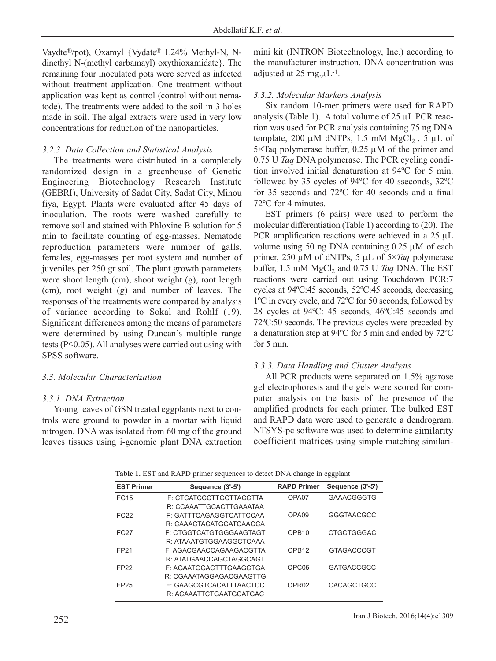Vaydte®/pot), Oxamyl {Vydate® L24% Methyl-N, Ndinethyl N-(methyl carbamayl) oxythioxamidate}. The remaining four inoculated pots were served as infected without treatment application. One treatment without application was kept as control (control without nematode). The treatments were added to the soil in 3 holes made in soil. The algal extracts were used in very low concentrations for reduction of the nanoparticles.

# *3.2.3. Data Collection and Statistical Analysis*

The treatments were distributed in a completely randomized design in a greenhouse of Genetic Engineering Biotechnology Research Institute (GEBRI), University of Sadat City, Sadat City, Minou fiya, Egypt. Plants were evaluated after 45 days of inoculation. The roots were washed carefully to remove soil and stained with Phloxine B solution for 5 min to facilitate counting of egg-masses. Nematode reproduction parameters were number of galls, females, egg-masses per root system and number of juveniles per 250 gr soil. The plant growth parameters were shoot length (cm), shoot weight (g), root length (cm), root weight (g) and number of leaves. The responses of the treatments were compared by analysis of variance according to Sokal and Rohlf (19). Significant differences among the means of parameters were determined by using Duncan's multiple range tests (P≤0.05). All analyses were carried out using with SPSS software.

# *3.3. Molecular Characterization*

# *3.3.1. DNA Extraction*

Young leaves of GSN treated eggplants next to controls were ground to powder in a mortar with liquid nitrogen. DNA was isolated from 60 mg of the ground leaves tissues using i-genomic plant DNA extraction mini kit (INTRON Biotechnology, Inc.) according to the manufacturer instruction. DNA concentration was adjusted at  $25 \text{ mg} \mu \text{L}^{-1}$ .

# *3.3.2. Molecular Markers Analysis*

Six random 10-mer primers were used for RAPD analysis (Table 1). A total volume of  $25 \mu L$  PCR reaction was used for PCR analysis containing 75 ng DNA template, 200 μM dNTPs, 1.5 mM MgCl<sub>2</sub>, 5 μL of 5×Taq polymerase buffer,  $0.25 \mu M$  of the primer and 0.75 U *Taq* DNA polymerase. The PCR cycling condition involved initial denaturation at 94ºC for 5 min. followed by 35 cycles of 94ºC for 40 sseconds, 32ºC for 35 seconds and 72ºC for 40 seconds and a final 72ºC for 4 minutes.

EST primers (6 pairs) were used to perform the molecular differentiation (Table 1) according to (20). The PCR amplification reactions were achieved in a 25 μL volume using 50 ng DNA containing 0.25 μM of each primer, 250 μM of dNTPs, 5 μL of 5×*Taq* polymerase buffer, 1.5 mM MgCl<sub>2</sub> and 0.75 U Taq DNA. The EST reactions were carried out using Touchdown PCR:7 cycles at 94ºC:45 seconds, 52ºC:45 seconds, decreasing 1ºC in every cycle, and 72ºC for 50 seconds, followed by 28 cycles at 94ºC: 45 seconds, 46ºC:45 seconds and 72ºC:50 seconds. The previous cycles were preceded by a denaturation step at 94ºC for 5 min and ended by 72ºC for 5 min.

# *3.3.3. Data Handling and Cluster Analysis*

All PCR products were separated on 1.5% agarose gel electrophoresis and the gels were scored for computer analysis on the basis of the presence of the amplified products for each primer. The bulked EST and RAPD data were used to generate a dendrogram. NTSYS-pc software was used to determine similarity coefficient matrices using simple matching similari-

| Table 1. EST and RAPD primer sequences to detect DNA change in eggplant |  |  |  |  |
|-------------------------------------------------------------------------|--|--|--|--|
|                                                                         |  |  |  |  |

| <b>EST Primer</b> | Sequence (3'-5')        | <b>RAPD Primer</b> | Sequence (3'-5')  |
|-------------------|-------------------------|--------------------|-------------------|
| FC <sub>15</sub>  | F: CTCATCCCTTGCTTACCTTA | OPA <sub>07</sub>  | GAAACGGGTG        |
|                   | R: CCAAATTGCACTTGAAATAA |                    |                   |
| FC <sub>22</sub>  | F: GATTTCAGAGGTCATTCCAA | OPA <sub>09</sub>  | <b>GGGTAACGCC</b> |
|                   | R: CAAACTACATGGATCAAGCA |                    |                   |
| FC <sub>27</sub>  | F: CTGGTCATGTGGGAAGTAGT | OPB <sub>10</sub>  | CTGCTGGGAC        |
|                   | R: ATAAATGTGGAAGGCTCAAA |                    |                   |
| FP <sub>21</sub>  | F: AGACGAACCAGAAGACGTTA | OPB <sub>12</sub>  | <b>GTAGACCCGT</b> |
|                   | R: ATATGAACCAGCTAGGCAGT |                    |                   |
| FP <sub>22</sub>  | F: AGAATGGACTTTGAAGCTGA | OPC <sub>05</sub>  | GATGACCGCC        |
|                   | R: CGAAATAGGAGACGAAGTTG |                    |                   |
| FP <sub>25</sub>  | F: GAAGCGTCACATTTAACTCC | OPR <sub>02</sub>  | CACAGCTGCC        |
|                   | R: ACAAATTCTGAATGCATGAC |                    |                   |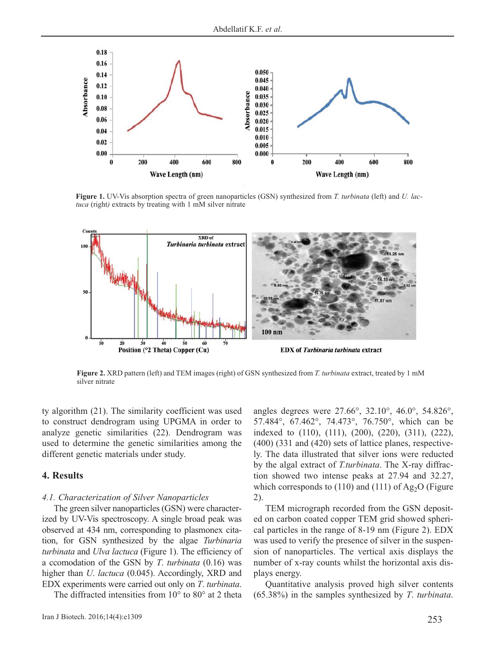

**Figure 1.** UV-Vis absorption spectra of green nanoparticles (GSN) synthesized from *T. turbinata* (left) and *U. lactuca* (right*)* extracts by treating with 1 mM silver nitrate



**Figure 2.** XRD pattern (left) and TEM images (right) of GSN synthesized from *T. turbinata* extract, treated by 1 mM silver nitrate

ty algorithm (21). The similarity coefficient was used to construct dendrogram using UPGMA in order to analyze genetic similarities (22). Dendrogram was used to determine the genetic similarities among the different genetic materials under study.

### **4. Results**

#### *4.1. Characterization of Silver Nanoparticles*

The green silver nanoparticles (GSN) were characterized by UV-Vis spectroscopy. A single broad peak was observed at 434 nm, corresponding to plasmonex citation, for GSN synthesized by the algae *Turbinaria turbinata* and *Ulva lactuca* (Figure 1). The efficiency of a ccomodation of the GSN by *T*. *turbinata* (0.16) was higher than *U*. *lactuca* (0.045). Accordingly, XRD and EDX experiments were carried out only on *T*. *turbinata*.

The diffracted intensities from 10° to 80° at 2 theta

angles degrees were 27.66°, 32.10°, 46.0°, 54.826°, 57.484°, 67.462°, 74.473°, 76.750°, which can be indexed to (110), (111), (200), (220), (311), (222), (400) (331 and (420) sets of lattice planes, respectively. The data illustrated that silver ions were reducted by the algal extract of *T.turbinata*. The X-ray diffraction showed two intense peaks at 27.94 and 32.27, which corresponds to  $(110)$  and  $(111)$  of Ag<sub>2</sub>O (Figure 2).

TEM micrograph recorded from the GSN deposited on carbon coated copper TEM grid showed spherical particles in the range of 8-19 nm (Figure 2). EDX was used to verify the presence of silver in the suspension of nanoparticles. The vertical axis displays the number of x-ray counts whilst the horizontal axis displays energy.

Quantitative analysis proved high silver contents (65.38%) in the samples synthesized by *T*. *turbinata*.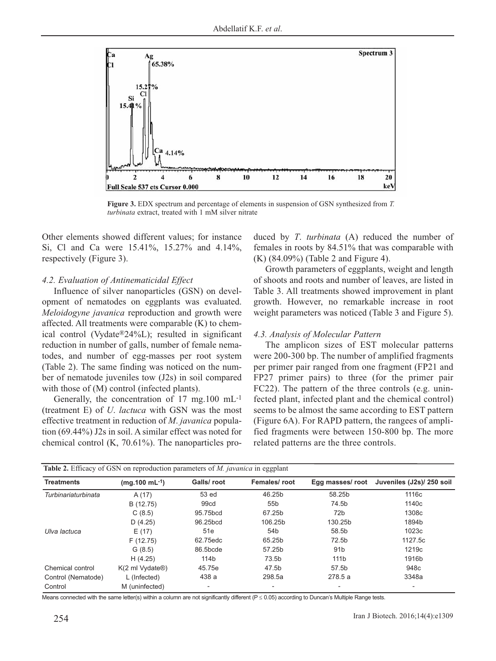

**Figure 3.** EDX spectrum and percentage of elements in suspension of GSN synthesized from *T. turbinata* extract, treated with 1 mM silver nitrate

Other elements showed different values; for instance Si, Cl and Ca were 15.41%, 15.27% and 4.14%, respectively (Figure 3).

### *4.2. Evaluation of Antinematicidal Effect*

Influence of silver nanoparticles (GSN) on development of nematodes on eggplants was evaluated. *Meloidogyne javanica* reproduction and growth were affected. All treatments were comparable (K) to chemical control (Vydate®24%L); resulted in significant reduction in number of galls, number of female nematodes, and number of egg-masses per root system (Table 2). The same finding was noticed on the number of nematode juveniles tow (J2s) in soil compared with those of  $(M)$  control (infected plants).

Generally, the concentration of 17 mg.100 mL-1 (treatment E) of *U*. *lactuca* with GSN was the most effective treatment in reduction of *M*. *javanica* population (69.44%) J2s in soil. A similar effect was noted for chemical control (K, 70.61%). The nanoparticles produced by *T*. *turbinata* (A) reduced the number of females in roots by 84.51% that was comparable with (K) (84.09%) (Table 2 and Figure 4).

Growth parameters of eggplants, weight and length of shoots and roots and number of leaves, are listed in Table 3. All treatments showed improvement in plant growth. However, no remarkable increase in root weight parameters was noticed (Table 3 and Figure 5).

#### *4.3. Analysis of Molecular Pattern*

The amplicon sizes of EST molecular patterns were 200-300 bp. The number of amplified fragments per primer pair ranged from one fragment (FP21 and FP27 primer pairs) to three (for the primer pair FC22). The pattern of the three controls (e.g. uninfected plant, infected plant and the chemical control) seems to be almost the same according to EST pattern (Figure 6A). For RAPD pattern, the rangees of amplified fragments were between 150-800 bp. The more related patterns are the three controls.

| Table 2. Efficacy of GSN on reproduction parameters of <i>M. javanica</i> in eggplant |                                      |                          |                 |                  |                           |  |
|---------------------------------------------------------------------------------------|--------------------------------------|--------------------------|-----------------|------------------|---------------------------|--|
| <b>Treatments</b>                                                                     | $(mq.100 \text{ mL}^{-1})$           | Galls/root               | Females/root    | Egg masses/ root | Juveniles (J2s)/ 250 soil |  |
| Turbinariaturbinata                                                                   | A(17)                                | 53 ed                    | 46.25b          | 58.25b           | 1116c                     |  |
|                                                                                       | B (12.75)                            | 99cd                     | 55 <sub>b</sub> | 74.5b            | 1140 <sub>c</sub>         |  |
|                                                                                       | C(8.5)                               | 95.75bcd                 | 67.25b          | 72b              | 1308c                     |  |
|                                                                                       | D(4.25)                              | 96.25bcd                 | 106.25b         | 130.25b          | 1894b                     |  |
| Ulva lactuca                                                                          | E(17)                                | 51e                      | 54 <sub>b</sub> | 58.5b            | 1023c                     |  |
|                                                                                       | F(12.75)                             | 62.75edc                 | 65.25b          | 72.5b            | 1127.5c                   |  |
|                                                                                       | G(8.5)                               | 86.5bcde                 | 57.25b          | 91 <sub>b</sub>  | 1219 <sub>c</sub>         |  |
|                                                                                       | H(4.25)                              | 114b                     | 73.5b           | 111 <sub>b</sub> | 1916b                     |  |
| Chemical control                                                                      | $K(2 \text{ ml Vydate}$ $\circledR)$ | 45.75e                   | 47.5b           | 57.5b            | 948c                      |  |
| Control (Nematode)                                                                    | L (Infected)                         | 438 a                    | 298.5a          | 278.5 a          | 3348a                     |  |
| Control                                                                               | M (uninfected)                       | $\overline{\phantom{0}}$ |                 |                  | -                         |  |

Means connected with the same letter(s) within a column are not significantly different (P ≤ 0.05) according to Duncan's Multiple Range tests.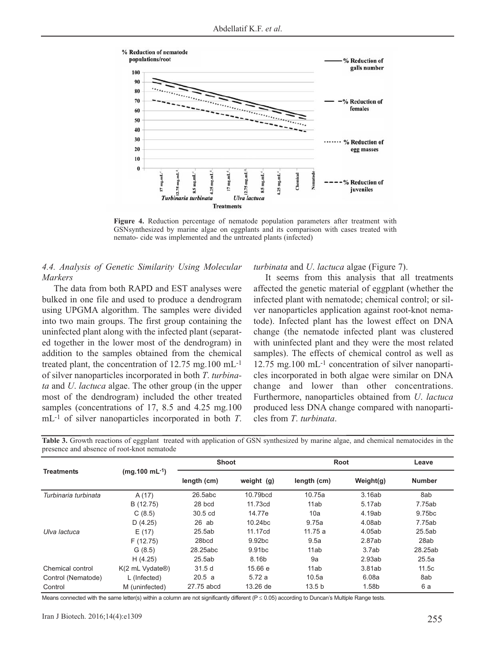

**Figure 4.** Reduction percentage of nematode population parameters after treatment with GSNsynthesized by marine algae on eggplants and its comparison with cases treated with nemato- cide was implemented and the untreated plants (infected)

# *4.4. Analysis of Genetic Similarity Using Molecular Markers*

The data from both RAPD and EST analyses were bulked in one file and used to produce a dendrogram using UPGMA algorithm. The samples were divided into two main groups. The first group containing the uninfected plant along with the infected plant (separated together in the lower most of the dendrogram) in addition to the samples obtained from the chemical treated plant, the concentration of 12.75 mg.100 mL-1 of silver nanoparticles incorporated in both *T*. *turbinata* and *U*. *lactuca* algae. The other group (in the upper most of the dendrogram) included the other treated samples (concentrations of 17, 8.5 and 4.25 mg.100) mL-1 of silver nanoparticles incorporated in both *T*.

### *turbinata* and *U*. *lactuca* algae (Figure 7).

It seems from this analysis that all treatments affected the genetic material of eggplant (whether the infected plant with nematode; chemical control; or silver nanoparticles application against root-knot nematode). Infected plant has the lowest effect on DNA change (the nematode infected plant was clustered with uninfected plant and they were the most related samples). The effects of chemical control as well as 12.75 mg.100 mL-1 concentration of silver nanoparticles incorporated in both algae were similar on DNA change and lower than other concentrations. Furthermore, nanoparticles obtained from *U*. *lactuca* produced less DNA change compared with nanoparticles from *T*. *turbinata*.

|                      | $(mq.100 \text{ mL}^{-1})$                              | <b>Shoot</b>      |                    | Root              |              | Leave              |
|----------------------|---------------------------------------------------------|-------------------|--------------------|-------------------|--------------|--------------------|
| <b>Treatments</b>    |                                                         | length (cm)       | weight (g)         | length (cm)       | Weight $(g)$ | <b>Number</b>      |
| Turbinaria turbinata | A(17)                                                   | 26.5abc           | 10.79bcd           | 10.75a            | 3.16ab       | 8ab                |
|                      | B (12.75)                                               | 28 bcd            | 11.73cd            | 11ab              | 5.17ab       | 7.75ab             |
|                      | C(8.5)                                                  | 30.5 cd           | 14.77e             | 10a               | 4.19ab       | 9.75 <sub>bc</sub> |
|                      | D(4.25)                                                 | $26$ ab           | 10.24bc            | 9.75a             | 4.08ab       | 7.75ab             |
| Ulva lactuca         | E(17)                                                   | 25.5ab            | 11.17cd            | 11.75a            | 4.05ab       | 25.5ab             |
|                      | F(12.75)                                                | 28 <sub>bcd</sub> | 9.92bc             | 9.5a              | 2.87ab       | 28ab               |
|                      | G(8.5)                                                  | 28.25abc          | 9.91 <sub>bc</sub> | 11ab              | 3.7ab        | 28.25ab            |
|                      | H(4.25)                                                 | 25.5ab            | 8.16b              | 9a                | 2.93ab       | 25.5a              |
| Chemical control     | $K(2 \text{ mL Vydate}$ <sup><math>\circ</math></sup> ) | 31.5d             | 15.66 e            | 11ab              | 3.81ab       | 11.5c              |
| Control (Nematode)   | L (Infected)                                            | 20.5 a            | 5.72a              | 10.5a             | 6.08a        | 8ab                |
| Control              | M (uninfected)                                          | 27.75 abcd        | 13.26 de           | 13.5 <sub>b</sub> | 1.58b        | 6 a                |

**Table 3.** Growth reactions of eggplant treated with application of GSN synthesized by marine algae, and chemical nematocides in the presence and absence of root-knot nematode

Means connected with the same letter(s) within a column are not significantly different (P ≤ 0.05) according to Duncan's Multiple Range tests.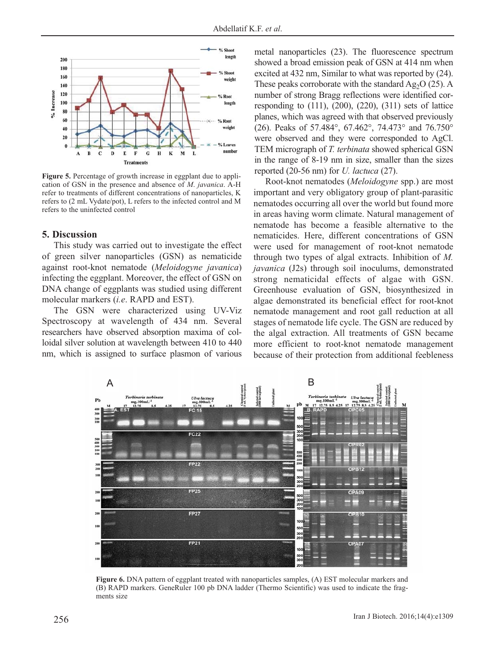

**Figure 5.** Percentage of growth increase in eggplant due to application of GSN in the presence and absence of *M*. *javanica*. A-H refer to treatments of different concentrations of nanoparticles, K refers to (2 mL Vydate/pot), L refers to the infected control and M refers to the uninfected control

### **5. Discussion**

This study was carried out to investigate the effect of green silver nanoparticles (GSN) as nematicide against root-knot nematode (*Meloidogyne javanica*) infecting the eggplant. Moreover, the effect of GSN on DNA change of eggplants was studied using different molecular markers (*i.e*. RAPD and EST).

The GSN were characterized using UV-Viz Spectroscopy at wavelength of 434 nm. Several researchers have observed absorption maxima of colloidal silver solution at wavelength between 410 to 440 nm, which is assigned to surface plasmon of various metal nanoparticles (23). The fluorescence spectrum showed a broad emission peak of GSN at 414 nm when excited at 432 nm, Similar to what was reported by (24). These peaks corroborate with the standard  $Ag<sub>2</sub>O$  (25). A number of strong Bragg reflections were identified corresponding to  $(111)$ ,  $(200)$ ,  $(220)$ ,  $(311)$  sets of lattice planes, which was agreed with that observed previously (26). Peaks of 57.484°, 67.462°, 74.473° and 76.750° were observed and they were corresponded to AgCl. TEM micrograph of *T. terbinata* showed spherical GSN in the range of 8-19 nm in size, smaller than the sizes reported (20-56 nm) for *U. lactuca* (27).

Root-knot nematodes (*Meloidogyne* spp.) are most important and very obligatory group of plant-parasitic nematodes occurring all over the world but found more in areas having worm climate. Natural management of nematode has become a feasible alternative to the nematicides. Here, different concentrations of GSN were used for management of root-knot nematode through two types of algal extracts. Inhibition of *M. javanica* (J2s) through soil inoculums, demonstrated strong nematicidal effects of algae with GSN. Greenhouse evaluation of GSN, biosynthesized in algae demonstrated its beneficial effect for root-knot nematode management and root gall reduction at all stages of nematode life cycle. The GSN are reduced by the algal extraction. All treatments of GSN became more efficient to root-knot nematode management because of their protection from additional feebleness



**Figure 6.** DNA pattern of eggplant treated with nanoparticles samples, (A) EST molecular markers and (B) RAPD markers. GeneRuler 100 pb DNA ladder (Thermo Scientific) was used to indicate the fragments size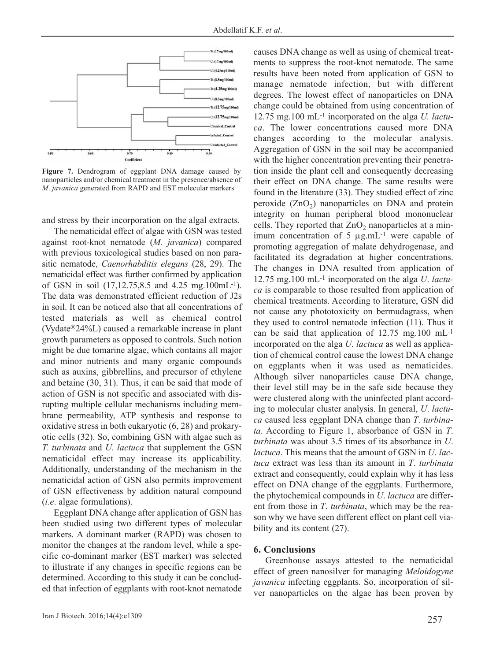

**Figure 7.** Dendrogram of eggplant DNA damage caused by nanoparticles and/or chemical treatment in the presence/absence of *M*. *javanica* generated from RAPD and EST molecular markers

and stress by their incorporation on the algal extracts.

The nematicidal effect of algae with GSN was tested against root-knot nematode (*M. javanica*) compared with previous toxicological studies based on non parasitic nematode, *Caenorhabditis elegans* (28, 29). The nematicidal effect was further confirmed by application of GSN in soil (17,12.75,8.5 and 4.25 mg.100mL-1). The data was demonstrated efficient reduction of J2s in soil. It can be noticed also that all concentrations of tested materials as well as chemical control (Vydate®24%L) caused a remarkable increase in plant growth parameters as opposed to controls. Such notion might be due tomarine algae, which contains all major and minor nutrients and many organic compounds such as auxins, gibbrellins, and precursor of ethylene and betaine (30, 31). Thus, it can be said that mode of action of GSN is not specific and associated with disrupting multiple cellular mechanisms including membrane permeability, ATP synthesis and response to oxidative stress in both eukaryotic (6, 28) and prokaryotic cells (32). So, combining GSN with algae such as *T. turbinata* and *U. lactuca* that supplement the GSN nematicidal effect may increase its applicability. Additionally, understanding of the mechanism in the nematicidal action of GSN also permits improvement of GSN effectiveness by addition natural compound (*i.e*. algae formulations).

Eggplant DNA change after application of GSN has been studied using two different types of molecular markers. A dominant marker (RAPD) was chosen to monitor the changes at the random level, while a specific co-dominant marker (EST marker) was selected to illustrate if any changes in specific regions can be determined. According to this study it can be concluded that infection of eggplants with root-knot nematode

ments to suppress the root-knot nematode. The same results have been noted from application of GSN to manage nematode infection, but with different degrees. The lowest effect of nanoparticles on DNA change could be obtained from using concentration of 12.75 mg.100 mL-1 incorporated on the alga *U. lactuca*. The lower concentrations caused more DNA changes according to the molecular analysis. Aggregation of GSN in the soil may be accompanied with the higher concentration preventing their penetration inside the plant cell and consequently decreasing their effect on DNA change. The same results were found in the literature (33). They studied effect of zinc peroxide  $(ZnO<sub>2</sub>)$  nanoparticles on DNA and protein integrity on human peripheral blood mononuclear cells. They reported that  $ZnO<sub>2</sub>$  nanoparticles at a minimum concentration of 5 μg.mL-1 were capable of promoting aggregation of malate dehydrogenase, and facilitated its degradation at higher concentrations. The changes in DNA resulted from application of 12.75 mg.100 mL-1 incorporated on the alga *U*. *lactuca* is comparable to those resulted from application of chemical treatments. According to literature, GSN did not cause any phototoxicity on bermudagrass, when they used to control nematode infection (11). Thus it can be said that application of 12.75 mg.100 mL-1 incorporated on the alga *U*. *lactuca* as well as application of chemical control cause the lowest DNA change on eggplants when it was used as nematicides. Although silver nanoparticles cause DNA change, their level still may be in the safe side because they were clustered along with the uninfected plant according to molecular cluster analysis. In general, *U*. *lactuca* caused less eggplant DNA change than *T*. *turbinata*. According to Figure 1, absorbance of GSN in *T*. *turbinata* was about 3.5 times of its absorbance in *U*. *lactuca*. This means that the amount of GSN in *U*. *lactuca* extract was less than its amount in *T*. *turbinata* extract and consequently, could explain why it has less effect on DNA change of the eggplants. Furthermore, the phytochemical compounds in *U*. *lactuca* are different from those in *T*. *turbinata*, which may be the reason why we have seen different effect on plant cell viability and its content (27).

causes DNA change as well as using of chemical treat-

### **6. Conclusions**

Greenhouse assays attested to the nematicidal effect of green nanosilver for managing *Meloidogyne javanica* infecting eggplants*.* So, incorporation of silver nanoparticles on the algae has been proven by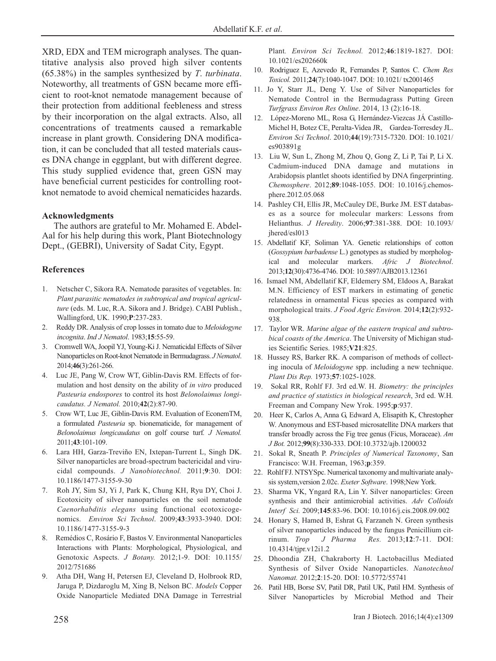XRD, EDX and TEM micrograph analyses. The quantitative analysis also proved high silver contents (65.38%) in the samples synthesized by *T*. *turbinata*. Noteworthy, all treatments of GSN became more efficient to root-knot nematode management because of their protection from additional feebleness and stress by their incorporation on the algal extracts. Also, all concentrations of treatments caused a remarkable increase in plant growth. Considering DNA modification, it can be concluded that all tested materials causes DNA change in eggplant, but with different degree. This study supplied evidence that, green GSN may have beneficial current pesticides for controlling rootknot nematode to avoid chemical nematicides hazards.

### **Acknowledgments**

The authors are grateful to Mr. Mohamed E. Abdel-Aal for his help during this work, Plant Biotechnology Dept., (GEBRI), University of Sadat City, Egypt.

### **References**

- 1. Netscher C, Sikora RA. Nematode parasites of vegetables. In: *Plant parasitic nematodes in subtropical and tropical agriculture* (eds. M. Luc, R.A. Sikora and J. Bridge). CABI Publish., Wallingford, UK. 1990;**P**:237-283.
- 2. Reddy DR. Analysis of crop losses in tomato due to *Meloidogyne incognita*. *Ind J Nematol*. 1983;**15**:55-59.
- 3. Cromwell WA, Joopil YJ, Young-Ki J. Nematicidal Effects of Silver Nanoparticles on Root-knot Nematode in Bermudagrass. *J Nematol*. 2014;**46**(3):261-266.
- 4. Luc JE, Pang W, Crow WT, Giblin-Davis RM. Effects of formulation and host density on the ability of *in vitro* produced *Pasteuria endospores* to control its host *Belonolaimus longicaudatus. J Nematol.* 2010;**42**(2):87-90.
- 5. Crow WT, Luc JE, Giblin-Davis RM. Evaluation of EconemTM, a formulated *Pasteuria* sp. bionematicide, for management of *Belonolaimus longicaudatus* on golf course turf*. J Nematol.* 2011;**43**:101-109.
- 6. Lara HH, Garza-Treviño EN, Ixtepan-Turrent L, Singh DK. Silver nanoparticles are broad-spectrum bactericidal and virucidal compounds. *J Nanobiotechnol.* 2011;**9**:30. DOI: 10.1186/1477-3155-9-30
- 7. Roh JY, Sim SJ, Yi J, Park K, Chung KH, Ryu DY, Choi J. Ecotoxicity of silver nanoparticles on the soil nematode *Caenorhabditis elegans* using functional ecotoxicogenomics. *Environ Sci Technol*. 2009;**43**:3933-3940. DOI: 10.1186/1477-3155-9-3
- 8. Remédios C, Rosário F, Bastos V. Environmental Nanoparticles Interactions with Plants: Morphological, Physiological, and Genotoxic Aspects. *J Botany.* 2012;1-9. DOI: 10.1155/ 2012/751686
- 9. Atha DH, Wang H, Petersen EJ, Cleveland D, Holbrook RD, Jaruga P, Dizdaroglu M, Xing B, Nelson BC. *Models* Copper Oxide Nanoparticle Mediated DNA Damage in Terrestrial

Plant*. Environ Sci Technol.* 2012;**46**:1819-1827. DOI: 10.1021/es202660k

- 10. Rodriguez E, Azevedo R, Fernandes P, Santos C. *Chem Res Toxicol.* 2011;**24**(7):1040-1047. DOI: 10.1021/ tx2001465
- 11. Jo Y, Starr JL, Deng Y. Use of Silver Nanoparticles for Nematode Control in the Bermudagrass Putting Green *Turfgrass Environ Res Online*. 2014, 13 (2):16-18.
- 12. López-Moreno ML, Rosa G, Hernández-Viezcas JÁ Castillo-Michel H, Botez CE, Peralta-Videa JR, Gardea-Torresdey JL. *Environ Sci Technol*. 2010;**44**(19):7315-7320. DOI: 10.1021/ es903891g
- 13. Liu W, Sun L, Zhong M, Zhou Q, Gong Z, Li P, Tai P, Li X. Cadmium-induced DNA damage and mutations in Arabidopsis plantlet shoots identified by DNA fingerprinting. *Chemosphere*. 2012;**89**:1048-1055. DOI: 10.1016/j.chemosphere.2012.05.068
- 14. Pashley CH, Ellis JR, McCauley DE, Burke JM. EST databases as a source for molecular markers: Lessons from Helianthus. *J Heredity*. 2006;**97**:381-388. DOI: 10.1093/ jhered/esl013
- 15. Abdellatif KF, Soliman YA. Genetic relationships of cotton (*Gossypium barbadense* L.) genotypes as studied by morphological and molecular markers. *Afric J Biotechnol*. 2013;**12**(30):4736-4746. DOI: 10.5897/AJB2013.12361
- 16. Ismael NM, Abdellatif KF, Eldemery SM, Eldoos A, Barakat M.N. Efficiency of EST markers in estimating of genetic relatedness in ornamental Ficus species as compared with morphological traits. *J Food Agric Environ.* 2014;**12**(2):932- 938.
- 17. Taylor WR. *Marine algae of the eastern tropical and subtrobical coasts of the America*. The University of Michigan studies Scientific Series. 1985;**V21**:825.
- 18. Hussey RS, Barker RK. A comparison of methods of collecting inocula of *Meloidogyne* spp. including a new technique. *Plant Dis Rep.* 1973;**57**:1025-1028.
- 19. Sokal RR, Rohlf FJ. 3rd ed.W. H. *Biometry: the principles and practice of statistics in biological research*, 3rd ed. W.H*.* Freeman and Company New Yrok. 1995;**p**:937.
- 20. Heer K, Carlos A, Anna G, Edward A, Elisapith K, Chrestopher W. Anonymous and EST-based microsatellite DNA markers that transfer broadly across the Fig tree genus (Ficus, Moraceae). *Am J Bot.* 2012;**99**(8):330-333. DOI:10.3732/ajb.1200032
- 21. Sokal R, Sneath P. *Principles of Numerical Taxonomy*, San Francisco: W.H. Freeman, 1963;**p**:359.
- 22. Rohlf FJ. NTSYSpc. Numerical taxonomy and multivariate analysis system,version 2.02c. *Exeter Software*. 1998;New York.
- 23. Sharma VK, Yngard RA, Lin Y. Silver nanoparticles: Green synthesis and their antimicrobial activities. *Adv Colloids Interf Sci.* 2009;**145**:83-96. DOI: 10.1016/j.cis.2008.09.002
- 24. Honary S, Hamed B, Eshrat G, Farzaneh N. Green synthesis of silver nanoparticles induced by the fungus Penicillium citrinum. *Trop J Pharma Res.* 2013;**12**:7-11. DOI: 10.4314/tjpr.v12i1.2
- 25. Dhoondia ZH, Chakraborty H. Lactobacillus Mediated Synthesis of Silver Oxide Nanoparticles. *Nanotechnol Nanomat.* 2012;**2**:15-20. DOI: 10.5772/55741
- 26. Patil HB, Borse SV, Patil DR, Patil UK, Patil HM. Synthesis of Silver Nanoparticles by Microbial Method and Their